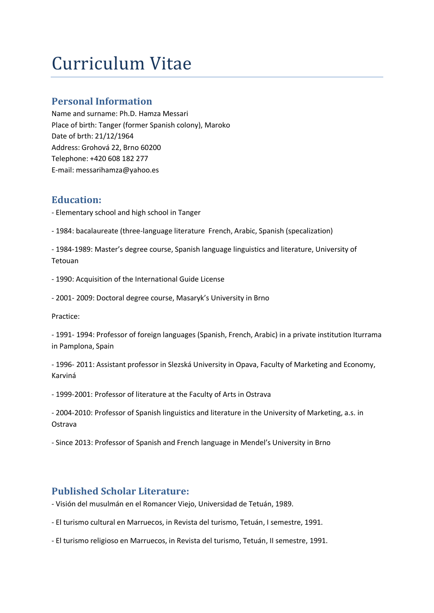# Curriculum Vitae

#### **Personal Information**

Name and surname: Ph.D. Hamza Messari Place of birth: Tanger (former Spanish colony), Maroko Date of brth: 21/12/1964 Address: Grohová 22, Brno 60200 Telephone: +420 608 182 277 E-mail: messarihamza@yahoo.es

### **Education:**

- Elementary school and high school in Tanger

- 1984: bacalaureate (three-language literature French, Arabic, Spanish (specalization)

- 1984-1989: Master's degree course, Spanish language linguistics and literature, University of Tetouan

- 1990: Acquisition of the International Guide License
- 2001- 2009: Doctoral degree course, Masaryk's University in Brno

Practice:

- 1991- 1994: Professor of foreign languages (Spanish, French, Arabic) in a private institution Iturrama in Pamplona, Spain

- 1996- 2011: Assistant professor in Slezská University in Opava, Faculty of Marketing and Economy, Karviná

- 1999-2001: Professor of literature at the Faculty of Arts in Ostrava
- 2004-2010: Professor of Spanish linguistics and literature in the University of Marketing, a.s. in Ostrava
- Since 2013: Professor of Spanish and French language in Mendel's University in Brno

## **Published Scholar Literature:**

- Visión del musulmán en el Romancer Viejo, Universidad de Tetuán, 1989.
- El turismo cultural en Marruecos, in Revista del turismo, Tetuán, I semestre, 1991.
- El turismo religioso en Marruecos, in Revista del turismo, Tetuán, II semestre, 1991.